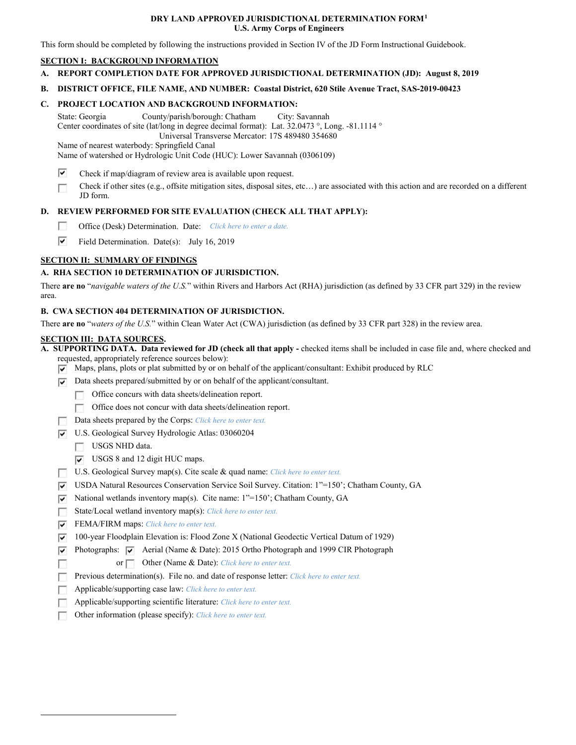#### **DRY LAND APPROVED JURISDICTIONAL DETERMINATION FORM[1](#page-0-0) U.S. Army Corps of Engineers**

This form should be completed by following the instructions provided in Section IV of the JD Form Instructional Guidebook.

### **SECTION I: BACKGROUND INFORMATION**

**A. REPORT COMPLETION DATE FOR APPROVED JURISDICTIONAL DETERMINATION (JD): August 8, 2019**

### **B. DISTRICT OFFICE, FILE NAME, AND NUMBER: Coastal District, 620 Stile Avenue Tract, SAS-2019-00423**

### **C. PROJECT LOCATION AND BACKGROUND INFORMATION:**

State: Georgia County/parish/borough: Chatham City: Savannah Center coordinates of site (lat/long in degree decimal format): Lat. 32.0473 °, Long. -81.1114 ° Universal Transverse Mercator: 17S 489480 354680

Name of nearest waterbody: Springfield Canal

Name of watershed or Hydrologic Unit Code (HUC): Lower Savannah (0306109)

- ⊽ Check if map/diagram of review area is available upon request.
- Check if other sites (e.g., offsite mitigation sites, disposal sites, etc…) are associated with this action and are recorded on a different П JD form.

# **D. REVIEW PERFORMED FOR SITE EVALUATION (CHECK ALL THAT APPLY):**

- $\Box$ Office (Desk) Determination. Date: *Click here to enter a date.*
- ⊽ Field Determination. Date(s): July 16, 2019

# **SECTION II: SUMMARY OF FINDINGS**

# **A. RHA SECTION 10 DETERMINATION OF JURISDICTION.**

There **are no** "*navigable waters of the U.S.*" within Rivers and Harbors Act (RHA) jurisdiction (as defined by 33 CFR part 329) in the review area.

### **B. CWA SECTION 404 DETERMINATION OF JURISDICTION.**

There **are no** "*waters of the U.S.*" within Clean Water Act (CWA) jurisdiction (as defined by 33 CFR part 328) in the review area.

#### **SECTION III: DATA SOURCES.**

**A. SUPPORTING DATA. Data reviewed for JD (check all that apply -** checked items shall be included in case file and, where checked and

- requested, appropriately reference sources below):
- $\triangledown$  Maps, plans, plots or plat submitted by or on behalf of the applicant/consultant: Exhibit produced by RLC
- $\nabla$  Data sheets prepared/submitted by or on behalf of the applicant/consultant.
	- $\Box$  Office concurs with data sheets/delineation report.
	- Office does not concur with data sheets/delineation report.
- **Data sheets prepared by the Corps:** *Click here to enter text.*
- U.S. Geological Survey Hydrologic Atlas: 03060204
	- USGS NHD data.

<span id="page-0-0"></span> $\overline{a}$ 

п

- USGS 8 and 12 digit HUC maps.
- U.S. Geological Survey map(s). Cite scale & quad name: *Click here to enter text.*
- USDA Natural Resources Conservation Service Soil Survey. Citation: 1"=150'; Chatham County, GA
- $\overline{v}$  National wetlands inventory map(s). Cite name: 1"=150'; Chatham County, GA
- State/Local wetland inventory map(s): *Click here to enter text.*
- FEMA/FIRM maps: *Click here to enter text.*
- 100-year Floodplain Elevation is: Flood Zone X (National Geodectic Vertical Datum of 1929)
- Photographs:  $\overline{\vee}$  Aerial (Name & Date): 2015 Ortho Photograph and 1999 CIR Photograph
	- or **Other (Name & Date):** *Click here to enter text.*
- Previous determination(s). File no. and date of response letter: *Click here to enter text.*  $\overline{\phantom{a}}$
- $\sim$ Applicable/supporting case law: *Click here to enter text.*
- Applicable/supporting scientific literature: *Click here to enter text.*
- Other information (please specify): *Click here to enter text.*  $\sim$